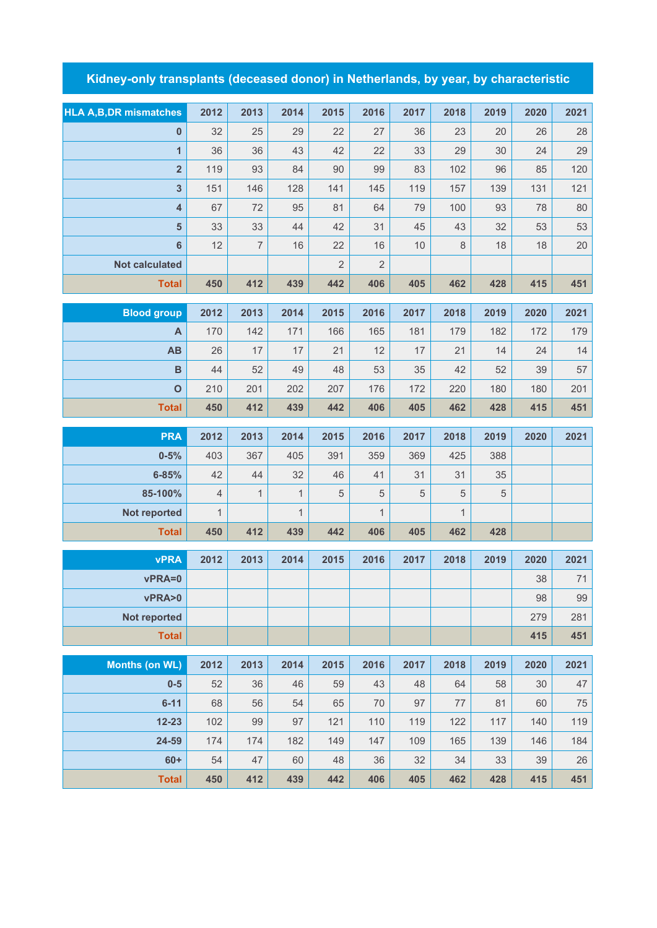## **Kidney-only transplants (deceased donor) in Netherlands, by year, by characteristic**

| <b>HLA A, B, DR mismatches</b> | 2012 | 2013           | 2014 | 2015           | 2016           | 2017 | 2018 | 2019 | 2020 | 2021 |
|--------------------------------|------|----------------|------|----------------|----------------|------|------|------|------|------|
| $\bf{0}$                       | 32   | 25             | 29   | 22             | 27             | 36   | 23   | 20   | 26   | 28   |
| $\mathbf{1}$                   | 36   | 36             | 43   | 42             | 22             | 33   | 29   | 30   | 24   | 29   |
| $\overline{2}$                 | 119  | 93             | 84   | 90             | 99             | 83   | 102  | 96   | 85   | 120  |
| 3                              | 151  | 146            | 128  | 141            | 145            | 119  | 157  | 139  | 131  | 121  |
| $\overline{4}$                 | 67   | 72             | 95   | 81             | 64             | 79   | 100  | 93   | 78   | 80   |
| 5                              | 33   | 33             | 44   | 42             | 31             | 45   | 43   | 32   | 53   | 53   |
| $6\phantom{a}$                 | 12   | $\overline{7}$ | 16   | 22             | 16             | 10   | 8    | 18   | 18   | 20   |
| <b>Not calculated</b>          |      |                |      | $\overline{2}$ | $\overline{2}$ |      |      |      |      |      |
| <b>Total</b>                   | 450  | 412            | 439  | 442            | 406            | 405  | 462  | 428  | 415  | 451  |

| <b>Blood group</b> | 2012 | 2013 | 2014 | 2015 | 2016 | 2017 | 2018 | 2019 | 2020 | 2021 |
|--------------------|------|------|------|------|------|------|------|------|------|------|
| А                  | 170  | 142  | 171  | 166  | 165  | 181  | 179  | 182  | 172  | 179  |
| AB                 | 26   | 17   | 17   | 21   | 12   | 17   | 21   | 14   | 24   | 14   |
| B                  | 44   | 52   | 49   | 48   | 53   | 35   | 42   | 52   | 39   | 57   |
| $\mathbf O$        | 210  | 201  | 202  | 207  | 176  | 172  | 220  | 180  | 180  | 201  |
| <b>Total</b>       | 450  | 412  | 439  | 442  | 406  | 405  | 462  | 428  | 415  | 451  |

| <b>PRA</b>          | 2012           | 2013 | 2014 | 2015 | 2016 | 2017 | 2018 | 2019 | 2020 | 2021 |
|---------------------|----------------|------|------|------|------|------|------|------|------|------|
| $0 - 5%$            | 403            | 367  | 405  | 391  | 359  | 369  | 425  | 388  |      |      |
| $6 - 85%$           | 42             | 44   | 32   | 46   | 41   | 31   | 31   | 35   |      |      |
| 85-100%             | 4              |      |      | 5    | 5    | 5    | 5    | 5    |      |      |
| <b>Not reported</b> | $\overline{1}$ |      |      |      |      |      |      |      |      |      |
| <b>Total</b>        | 450            | 412  | 439  | 442  | 406  | 405  | 462  | 428  |      |      |

| <b>vPRA</b>  | 2012 | 2013 | 2014 | 2015 | 2016 | 2017 | 2018 | 2019 | 2020 | 2021 |
|--------------|------|------|------|------|------|------|------|------|------|------|
| vPRA=0       |      |      |      |      |      |      |      |      | 38   | 71   |
| vPRA>0       |      |      |      |      |      |      |      |      | 98   | 99   |
| Not reported |      |      |      |      |      |      |      |      | 279  | 281  |
| <b>Total</b> |      |      |      |      |      |      |      |      | 415  | 451  |

| Months (on WL) | 2012 | 2013 | 2014 | 2015 | 2016 | 2017 | 2018 | 2019 | 2020 | 2021 |
|----------------|------|------|------|------|------|------|------|------|------|------|
| $0-5$          | 52   | 36   | 46   | 59   | 43   | 48   | 64   | 58   | 30   | 47   |
| $6 - 11$       | 68   | 56   | 54   | 65   | 70   | 97   | 77   | 81   | 60   | 75   |
| $12 - 23$      | 102  | 99   | 97   | 121  | 110  | 119  | 122  | 117  | 140  | 119  |
| 24-59          | 174  | 174  | 182  | 149  | 147  | 109  | 165  | 139  | 146  | 184  |
| $60+$          | 54   | 47   | 60   | 48   | 36   | 32   | 34   | 33   | 39   | 26   |
| <b>Total</b>   | 450  | 412  | 439  | 442  | 406  | 405  | 462  | 428  | 415  | 451  |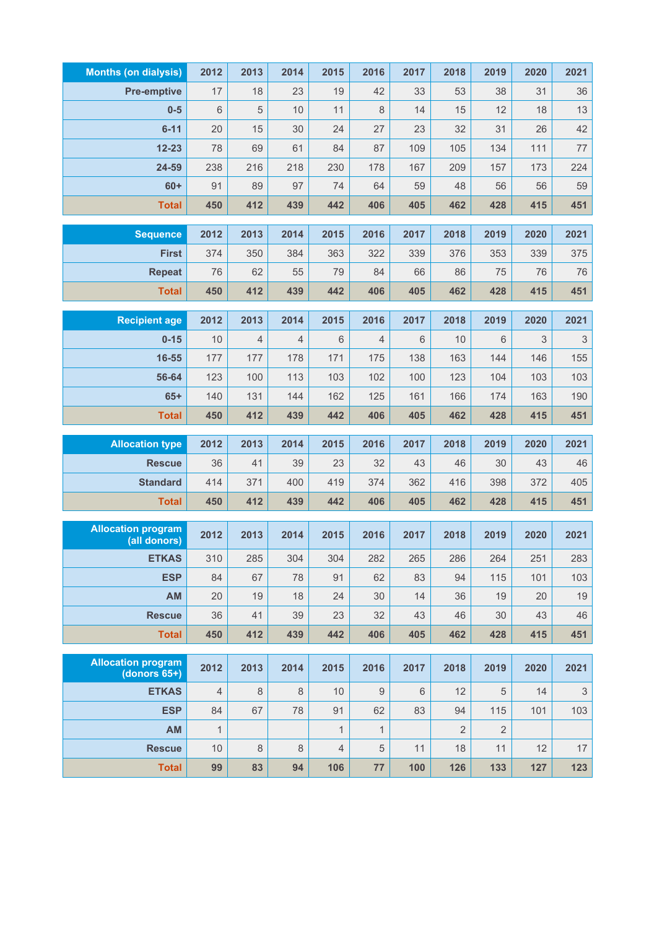| <b>Months (on dialysis)</b> | 2012           | 2013       | 2014           | 2015         | 2016           | 2017       | 2018           | 2019           | 2020       | 2021                      |
|-----------------------------|----------------|------------|----------------|--------------|----------------|------------|----------------|----------------|------------|---------------------------|
| <b>Pre-emptive</b>          | 17             | 18         | 23             | 19           | 42             | 33         | 53             | 38             | 31         | 36                        |
| $0-5$                       | 6              | 5          | 10             | 11           | 8              | 14         | 15             | 12             | 18         | 13                        |
| $6 - 11$                    | 20             | 15         | 30             | 24           | 27             | 23         | 32             | 31             | 26         | 42                        |
| $12 - 23$                   | 78             | 69         | 61             | 84           | 87             | 109        | 105            | 134            | 111        | 77                        |
| 24-59                       | 238            | 216        | 218            | 230          | 178            | 167        | 209            | 157            | 173        | 224                       |
| $60+$                       | 91             | 89         | 97             | 74           | 64             | 59         | 48             | 56             | 56         | 59                        |
| <b>Total</b>                | 450            | 412        | 439            | 442          | 406            | 405        | 462            | 428            | 415        | 451                       |
| <b>Sequence</b>             | 2012           | 2013       | 2014           | 2015         | 2016           | 2017       | 2018           | 2019           | 2020       | 2021                      |
| <b>First</b>                | 374            | 350        | 384            | 363          | 322            | 339        | 376            | 353            | 339        | 375                       |
| <b>Repeat</b>               | 76             | 62         | 55             | 79           | 84             | 66         | 86             | 75             | 76         | 76                        |
| <b>Total</b>                | 450            | 412        | 439            | 442          | 406            | 405        | 462            | 428            | 415        | 451                       |
|                             |                |            |                |              |                |            |                |                |            |                           |
| <b>Recipient age</b>        | 2012           | 2013       | 2014           | 2015         | 2016           | 2017       | 2018           | 2019           | 2020       | 2021                      |
| $0 - 15$                    | 10             | 4          | $\overline{4}$ | $\,6\,$      | $\overline{4}$ | 6          | 10             | 6<br>144       | 3          | $\ensuremath{\mathsf{3}}$ |
| 16-55                       | 177            | 177        | 178            | 171          | 175            | 138        | 163            |                | 146        | 155                       |
| 56-64                       | 123            | 100        | 113            | 103          | 102            | 100        | 123            | 104            | 103        | 103                       |
| $65+$<br><b>Total</b>       | 140<br>450     | 131<br>412 | 144<br>439     | 162<br>442   | 125<br>406     | 161<br>405 | 166<br>462     | 174<br>428     | 163<br>415 | 190<br>451                |
|                             |                |            |                |              |                |            |                |                |            |                           |
| <b>Allocation type</b>      | 2012           | 2013       | 2014           | 2015         | 2016           | 2017       | 2018           | 2019           | 2020       | 2021                      |
| <b>Rescue</b>               | 36             | 41         | 39             | 23           | 32             | 43         | 46             | 30             | 43         | 46                        |
| <b>Standard</b>             | 414            | 371        | 400            | 419          | 374            | 362        | 416            | 398            | 372        | 405                       |
| <b>Total</b>                | 450            | 412        | 439            | 442          | 406            | 405        | 462            | 428            | 415        | 451                       |
| <b>Allocation program</b>   |                |            |                |              |                |            |                |                |            |                           |
| (all donors)                | 2012           | 2013       | 2014           | 2015         | 2016           | 2017       | 2018           | 2019           | 2020       | 2021                      |
| <b>ETKAS</b>                | 310            | 285        | 304            | 304          | 282            | 265        | 286            | 264            | 251        | 283                       |
| <b>ESP</b>                  | 84             | 67         | 78             | 91           | 62             | 83         | 94             | 115            | 101        | 103                       |
| AM                          | 20             | 19         | 18             | 24           | 30             | 14         | 36             | 19             | 20         | 19                        |
| <b>Rescue</b>               | 36             | 41         | 39             | 23           | 32             | 43         | 46             | 30             | 43         | 46                        |
| <b>Total</b>                | 450            | 412        | 439            | 442          | 406            | 405        | 462            | 428            | 415        | 451                       |
| <b>Allocation program</b>   | 2012           | 2013       | 2014           | 2015         | 2016           | 2017       | 2018           | 2019           | 2020       | 2021                      |
| $(donors 65+)$              | $\overline{4}$ | 8          |                | 10           |                |            | 12             |                | 14         |                           |
| <b>ETKAS</b><br><b>ESP</b>  | 84             | 67         | 8<br>78        | 91           | 9<br>62        | 6<br>83    | 94             | 5<br>115       | 101        | 3<br>103                  |
| AM                          | $\mathbf{1}$   |            |                | $\mathbf{1}$ | $\mathbf{1}$   |            | $\overline{2}$ | $\overline{2}$ |            |                           |
| <b>Rescue</b>               | 10             | 8          | 8              | $\sqrt{4}$   | $\sqrt{5}$     | 11         | 18             | 11             | 12         | 17                        |
| <b>Total</b>                | 99             | 83         | 94             | 106          | 77             | 100        | 126            | 133            | 127        | 123                       |
|                             |                |            |                |              |                |            |                |                |            |                           |